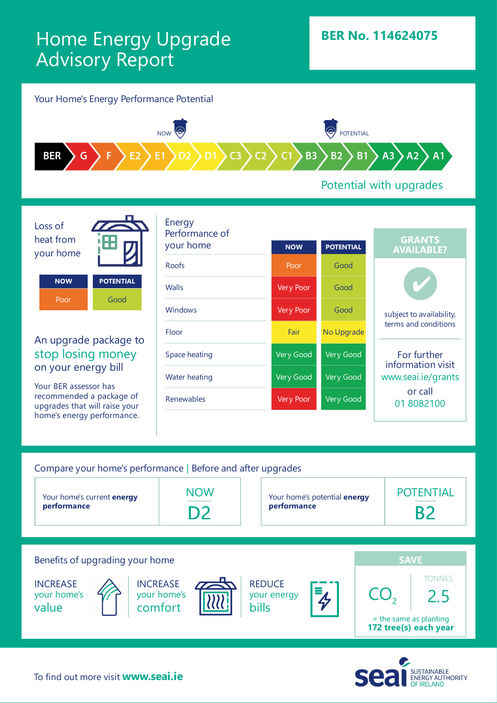## Home Energy Upgrade Advisory Report



**INCREASE** your home's value

**INCREASE** your home's comfort



**REDUCE** your energy bills



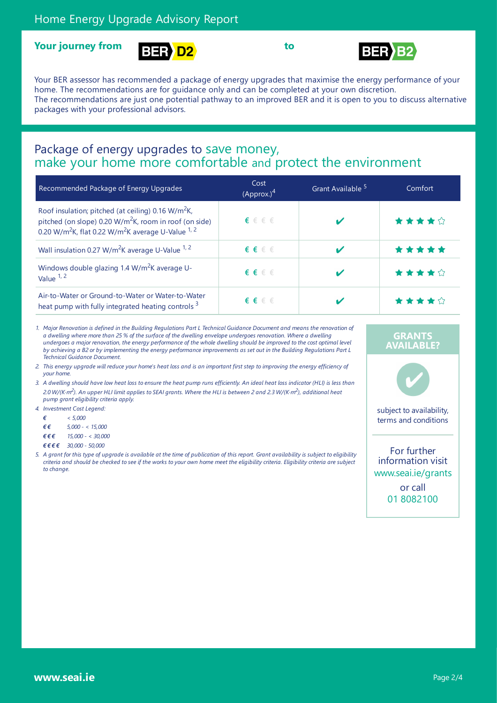





Your BER assessor has recommended a package of energy upgrades that maximise the energy performance of your home. The recommendations are for guidance only and can be completed at your own discretion. The recommendations are just one potential pathway to an improved BER and it is open to you to discuss alternative packages with your professional advisors.

# Package of energy upgrades to save money,<br>make your home more comfortable and protect the environment

| Recommended Package of Energy Upgrades                                                                                                                                                                               | Cost<br>(Approx.) <sup>4</sup> | Grant Available <sup>5</sup> | Comfort |
|----------------------------------------------------------------------------------------------------------------------------------------------------------------------------------------------------------------------|--------------------------------|------------------------------|---------|
| Roof insulation; pitched (at ceiling) 0.16 W/m <sup>2</sup> K,<br>pitched (on slope) 0.20 $W/m^2K$ , room in roof (on side)<br>0.20 W/m <sup>2</sup> K, flat 0.22 W/m <sup>2</sup> K average U-Value <sup>1, 2</sup> | $\epsilon \in \epsilon \in$    |                              | *****   |
| Wall insulation 0.27 W/m <sup>2</sup> K average U-Value <sup>1, 2</sup>                                                                                                                                              | $\epsilon \in \epsilon \in$    |                              | *****   |
| Windows double glazing 1.4 W/m <sup>2</sup> K average U-<br>Value $1, 2$                                                                                                                                             | $f \in \epsilon \in \epsilon$  |                              | ★★★★☆   |
| Air-to-Water or Ground-to-Water or Water-to-Water<br>heat pump with fully integrated heating controls 3                                                                                                              | $\epsilon \in \epsilon \in$    |                              | ★★★★☆   |

1. Major Renovation is defined in the Building Regulations Part L Technical Guidance Document and means the renovation of a dwelling where more than 25 % of the surface of the dwelling envelope undergoes renovation. Where a dwelling undergoes a major renovation, the energy performance of the whole dwelling should be improved to the cost optimal level by achieving a B2 or by implementing the energy performance improvements as set out in the Building Reaulations Part L *Technical Guidance Document.*

- 2. This energy upgrade will reduce your home's heat loss and is an important first step to improving the energy efficiency of *your home.*
- 3. A dwelling should have low heat loss to ensure the heat pump runs efficiently. An ideal heat loss indicator (HLI) is less than 2.0 W/(K·m<sup>2</sup>). An upper HLI limit applies to SEAI grants. Where the HLI is between 2 and 2.3 W/(K·m<sup>2</sup>), additional heat *pump grant eligibility criteria apply.*
- *4. Investment Cost Legend:*
	- *€ < 5,000*
	- *€ € 5,000 - < 15,000*
	- *€ € € 15,000 - < 30,000*
	- *€ € € € 30,000 - 50,000*
- 5. A grant for this type of upgrade is available at the time of publication of this report. Grant availability is subject to eligibility criteria and should be checked to see if the works to your own home meet the eligibility criteria. Eligibility criteria are subject *to change.*

#### **GRANTS AVAILABLE?**



subject to availability, terms and conditions

For further information visit www.seai.ie/grants or call 01 8082100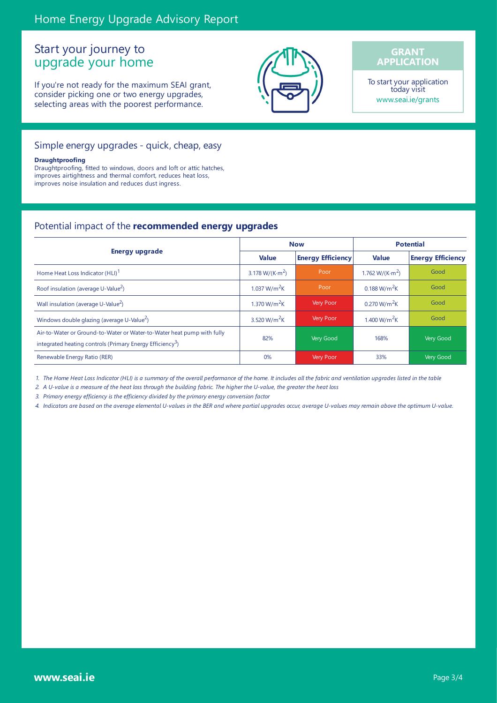### Start your journey to upgrade your home

If you're not ready for the maximum SEAI grant, consider picking one or two energy upgrades, selecting areas with the poorest performance.



#### **GRANT APPLICATION**

To start your application today visit www.seai.ie/grants

#### Simple energy upgrades - quick, cheap, easy

#### **Draughtproofing**

Draughtproofing, fitted to windows, doors and loft or attic hatches, improves airtightness and thermal comfort, reduces heat loss, improves noise insulation and reduces dust ingress.

#### Potential impact of the **recommended energy upgrades**

|                                                                                                                                                 | <b>Now</b>                          |                          | <b>Potential</b>                    |                          |
|-------------------------------------------------------------------------------------------------------------------------------------------------|-------------------------------------|--------------------------|-------------------------------------|--------------------------|
| <b>Energy upgrade</b>                                                                                                                           | <b>Value</b>                        | <b>Energy Efficiency</b> | <b>Value</b>                        | <b>Energy Efficiency</b> |
| Home Heat Loss Indicator (HLI) <sup>1</sup>                                                                                                     | 3.178 W/(K $\cdot$ m <sup>2</sup> ) | Poor                     | 1.762 W/(K $\cdot$ m <sup>2</sup> ) | Good                     |
| Roof insulation (average U-Value <sup>2</sup> )                                                                                                 | 1.037 W/m <sup>2</sup> K            | Poor                     | 0.188 W/m <sup>2</sup> K            | Good                     |
| Wall insulation (average U-Value <sup>2</sup> )                                                                                                 | 1.370 W/m <sup>2</sup> K            | <b>Very Poor</b>         | 0.270 W/m <sup>2</sup> K            | Good                     |
| Windows double glazing (average U-Value <sup>2</sup> )                                                                                          | 3.520 W/m <sup>2</sup> K            | Very Poor                | 1.400 W/m <sup>2</sup> K            | Good                     |
| Air-to-Water or Ground-to-Water or Water-to-Water heat pump with fully<br>integrated heating controls (Primary Energy Efficiency <sup>3</sup> ) | 82%                                 | Very Good                | 168%                                | Very Good                |
| Renewable Energy Ratio (RER)                                                                                                                    | 0%                                  | <b>Very Poor</b>         | 33%                                 | Very Good                |

1. The Home Heat Loss Indicator (HLI) is a summary of the overall performance of the home. It includes all the fabric and ventilation upgrades listed in the table

2. A U-value is a measure of the heat loss through the building fabric. The higher the U-value, the greater the heat loss

*3. Primary energy efficiency is the efficiency divided by the primary energy conversion factor*

4. Indicators are based on the average elemental U-values in the BER and where partial upgrades occur, average U-values may remain above the optimum U-value.